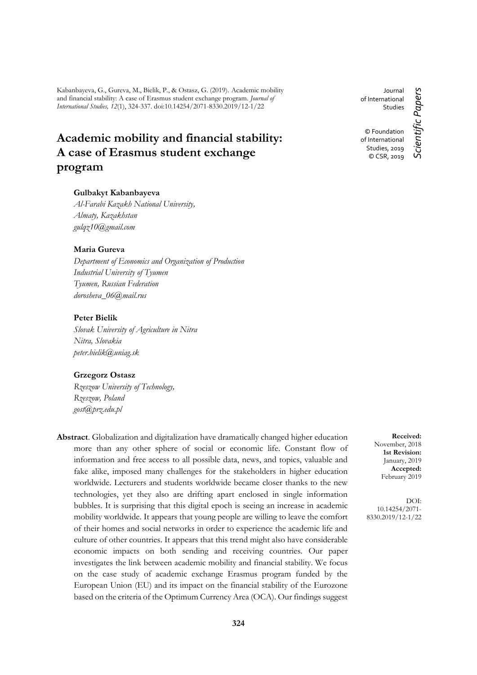Kabanbayeva, G., Gureva, M., Bielik, P., & Ostasz, G. (2019). Academic mobility and financial stability: A case of Erasmus student exchange program. *Journal of International Studies, 12*(1), 324-337. doi:10.14254/2071-8330.2019/12-1/22

# **Academic mobility and financial stability: A case of Erasmus student exchange program**

#### **Gulbakyt Kabanbayeva**

*Al-Farabi Kazakh National University, Almaty, Kazakhstan gulqz10@gmail.com*

## **Maria Gureva**

*Department of Economics and Organization of Production Industrial University of Tyumen Tyumen, Russian Federation [dorosheva\\_06@mail.rus](mailto:dorosheva_06@mail.ru)*

#### **Peter Bielik**

*Slovak University of Agriculture in Nitra Nitra, Slovakia peter.bielik@uniag.sk*

#### **Grzegorz Ostasz**

*Rzeszow University of Technology, Rzeszow, Poland gost@prz.edu.pl* 

**Abstract**. Globalization and digitalization have dramatically changed higher education more than any other sphere of social or economic life. Constant flow of information and free access to all possible data, news, and topics, valuable and fake alike, imposed many challenges for the stakeholders in higher education worldwide. Lecturers and students worldwide became closer thanks to the new technologies, yet they also are drifting apart enclosed in single information bubbles. It is surprising that this digital epoch is seeing an increase in academic mobility worldwide. It appears that young people are willing to leave the comfort of their homes and social networks in order to experience the academic life and culture of other countries. It appears that this trend might also have considerable economic impacts on both sending and receiving countries. Our paper investigates the link between academic mobility and financial stability. We focus on the case study of academic exchange Erasmus program funded by the European Union (EU) and its impact on the financial stability of the Eurozone based on the criteria of the Optimum Currency Area (OCA). Our findings suggest

Journal of International Studies © Foundation of International

> Studies, 2019 © CSR, 2019

Scientific Papers *Scientific Papers*

**Received:** November, 2018 **1st Revision:** January, 2019 **Accepted:** February 2019

DOI: 10.14254/2071- 8330.2019/12-1/22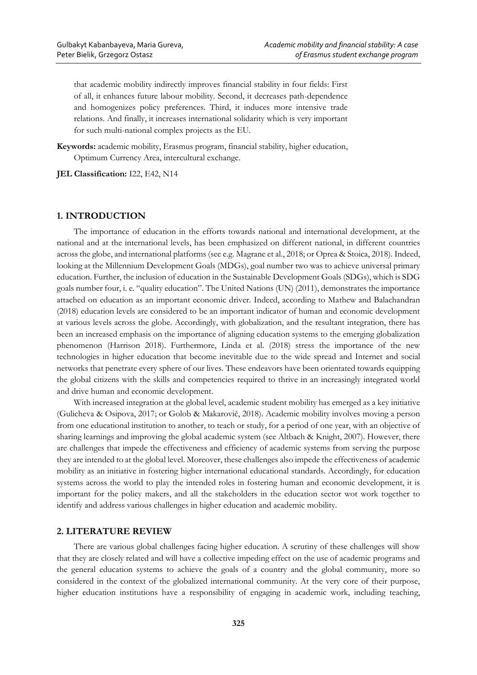that academic mobility indirectly improves financial stability in four fields: First of all, it enhances future labour mobility. Second, it decreases path-dependence and homogenizes policy preferences. Third, it induces more intensive trade relations. And finally, it increases international solidarity which is very important for such multi-national complex projects as the EU.

**Keywords:** academic mobility, Erasmus program, financial stability, higher education, Optimum Currency Area, intercultural exchange.

**JEL Classification:** I22, E42, N14

## **1. INTRODUCTION**

The importance of education in the efforts towards national and international development, at the national and at the international levels, has been emphasized on different national, in different countries across the globe, and international platforms (see e.g. Magrane et al., 2018; or Oprea & Stoica, 2018). Indeed, looking at the Millennium Development Goals (MDGs), goal number two was to achieve universal primary education. Further, the inclusion of education in the Sustainable Development Goals (SDGs), which is SDG goals number four, i. e. "quality education". The United Nations (UN) (2011), demonstrates the importance attached on education as an important economic driver. Indeed, according to Mathew and Balachandran (2018) education levels are considered to be an important indicator of human and economic development at various levels across the globe. Accordingly, with globalization, and the resultant integration, there has been an increased emphasis on the importance of aligning education systems to the emerging globalization phenomenon (Harrison 2018). Furthermore, Linda et al. (2018) stress the importance of the new technologies in higher education that become inevitable due to the wide spread and Internet and social networks that penetrate every sphere of our lives. These endeavors have been orientated towards equipping the global citizens with the skills and competencies required to thrive in an increasingly integrated world and drive human and economic development.

With increased integration at the global level, academic student mobility has emerged as a key initiative (Gulicheva & Osipova, 2017; or Golob & Makarovič, 2018). Academic mobility involves moving a person from one educational institution to another, to teach or study, for a period of one year, with an objective of sharing learnings and improving the global academic system (see Altbach & Knight, 2007). However, there are challenges that impede the effectiveness and efficiency of academic systems from serving the purpose they are intended to at the global level. Moreover, these challenges also impede the effectiveness of academic mobility as an initiative in fostering higher international educational standards. Accordingly, for education systems across the world to play the intended roles in fostering human and economic development, it is important for the policy makers, and all the stakeholders in the education sector wot work together to identify and address various challenges in higher education and academic mobility.

## **2. LITERATURE REVIEW**

There are various global challenges facing higher education. A scrutiny of these challenges will show that they are closely related and will have a collective impeding effect on the use of academic programs and the general education systems to achieve the goals of a country and the global community, more so considered in the context of the globalized international community. At the very core of their purpose, higher education institutions have a responsibility of engaging in academic work, including teaching,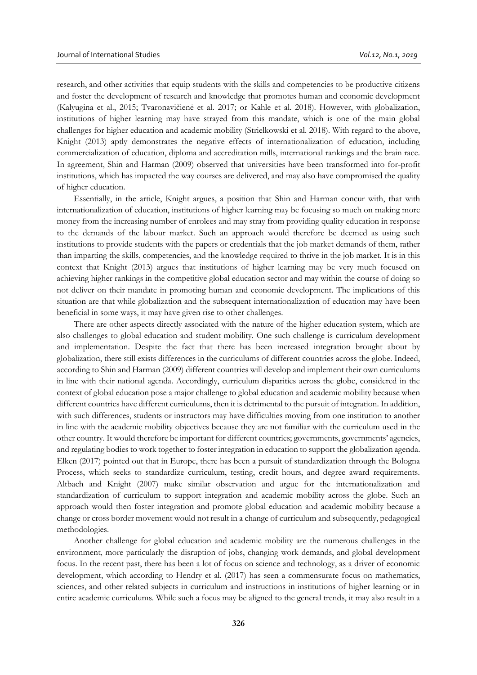research, and other activities that equip students with the skills and competencies to be productive citizens and foster the development of research and knowledge that promotes human and economic development (Kalyugina et al., 2015; Tvaronavičienė et al. 2017; or Kahle et al. 2018). However, with globalization, institutions of higher learning may have strayed from this mandate, which is one of the main global challenges for higher education and academic mobility (Strielkowski et al. 2018). With regard to the above, Knight (2013) aptly demonstrates the negative effects of internationalization of education, including commercialization of education, diploma and accreditation mills, international rankings and the brain race. In agreement, Shin and Harman (2009) observed that universities have been transformed into for-profit institutions, which has impacted the way courses are delivered, and may also have compromised the quality of higher education.

Essentially, in the article, Knight argues, a position that Shin and Harman concur with, that with internationalization of education, institutions of higher learning may be focusing so much on making more money from the increasing number of enrolees and may stray from providing quality education in response to the demands of the labour market. Such an approach would therefore be deemed as using such institutions to provide students with the papers or credentials that the job market demands of them, rather than imparting the skills, competencies, and the knowledge required to thrive in the job market. It is in this context that Knight (2013) argues that institutions of higher learning may be very much focused on achieving higher rankings in the competitive global education sector and may within the course of doing so not deliver on their mandate in promoting human and economic development. The implications of this situation are that while globalization and the subsequent internationalization of education may have been beneficial in some ways, it may have given rise to other challenges.

There are other aspects directly associated with the nature of the higher education system, which are also challenges to global education and student mobility. One such challenge is curriculum development and implementation. Despite the fact that there has been increased integration brought about by globalization, there still exists differences in the curriculums of different countries across the globe. Indeed, according to Shin and Harman (2009) different countries will develop and implement their own curriculums in line with their national agenda. Accordingly, curriculum disparities across the globe, considered in the context of global education pose a major challenge to global education and academic mobility because when different countries have different curriculums, then it is detrimental to the pursuit of integration. In addition, with such differences, students or instructors may have difficulties moving from one institution to another in line with the academic mobility objectives because they are not familiar with the curriculum used in the other country. It would therefore be important for different countries; governments, governments' agencies, and regulating bodies to work together to foster integration in education to support the globalization agenda. Elken (2017) pointed out that in Europe, there has been a pursuit of standardization through the Bologna Process, which seeks to standardize curriculum, testing, credit hours, and degree award requirements. Altbach and Knight (2007) make similar observation and argue for the internationalization and standardization of curriculum to support integration and academic mobility across the globe. Such an approach would then foster integration and promote global education and academic mobility because a change or cross border movement would not result in a change of curriculum and subsequently, pedagogical methodologies.

Another challenge for global education and academic mobility are the numerous challenges in the environment, more particularly the disruption of jobs, changing work demands, and global development focus. In the recent past, there has been a lot of focus on science and technology, as a driver of economic development, which according to Hendry et al. (2017) has seen a commensurate focus on mathematics, sciences, and other related subjects in curriculum and instructions in institutions of higher learning or in entire academic curriculums. While such a focus may be aligned to the general trends, it may also result in a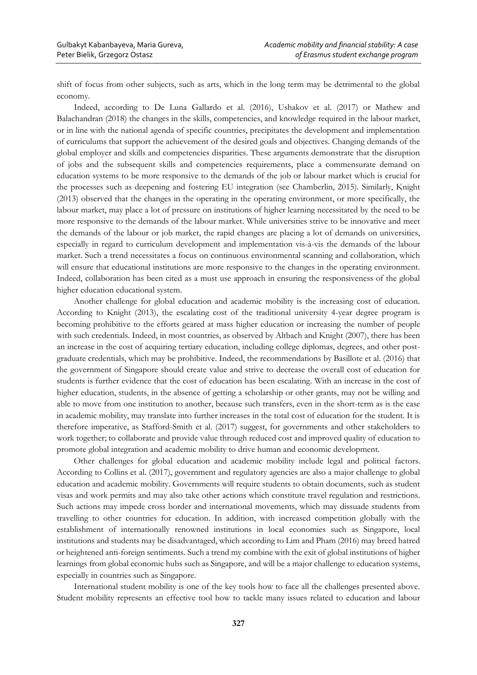shift of focus from other subjects, such as arts, which in the long term may be detrimental to the global economy.

Indeed, according to De Luna Gallardo et al. (2016), Ushakov et al. (2017) or Mathew and Balachandran (2018) the changes in the skills, competencies, and knowledge required in the labour market, or in line with the national agenda of specific countries, precipitates the development and implementation of curriculums that support the achievement of the desired goals and objectives. Changing demands of the global employer and skills and competencies disparities. These arguments demonstrate that the disruption of jobs and the subsequent skills and competencies requirements, place a commensurate demand on education systems to be more responsive to the demands of the job or labour market which is crucial for the processes such as deepening and fostering EU integration (see Chamberlin, 2015). Similarly, Knight (2013) observed that the changes in the operating in the operating environment, or more specifically, the labour market, may place a lot of pressure on institutions of higher learning necessitated by the need to be more responsive to the demands of the labour market. While universities strive to be innovative and meet the demands of the labour or job market, the rapid changes are placing a lot of demands on universities, especially in regard to curriculum development and implementation vis-à-vis the demands of the labour market. Such a trend necessitates a focus on continuous environmental scanning and collaboration, which will ensure that educational institutions are more responsive to the changes in the operating environment. Indeed, collaboration has been cited as a must use approach in ensuring the responsiveness of the global higher education educational system.

Another challenge for global education and academic mobility is the increasing cost of education. According to Knight (2013), the escalating cost of the traditional university 4-year degree program is becoming prohibitive to the efforts geared at mass higher education or increasing the number of people with such credentials. Indeed, in most countries, as observed by Altbach and Knight (2007), there has been an increase in the cost of acquiring tertiary education, including college diplomas, degrees, and other postgraduate credentials, which may be prohibitive. Indeed, the recommendations by Basillote et al. (2016) that the government of Singapore should create value and strive to decrease the overall cost of education for students is further evidence that the cost of education has been escalating. With an increase in the cost of higher education, students, in the absence of getting a scholarship or other grants, may not be willing and able to move from one institution to another, because such transfers, even in the short-term as is the case in academic mobility, may translate into further increases in the total cost of education for the student. It is therefore imperative, as Stafford-Smith et al. (2017) suggest, for governments and other stakeholders to work together; to collaborate and provide value through reduced cost and improved quality of education to promote global integration and academic mobility to drive human and economic development.

Other challenges for global education and academic mobility include legal and political factors. According to Collins et al. (2017), government and regulatory agencies are also a major challenge to global education and academic mobility. Governments will require students to obtain documents, such as student visas and work permits and may also take other actions which constitute travel regulation and restrictions. Such actions may impede cross border and international movements, which may dissuade students from travelling to other countries for education. In addition, with increased competition globally with the establishment of internationally renowned institutions in local economies such as Singapore, local institutions and students may be disadvantaged, which according to Lim and Pham (2016) may breed hatred or heightened anti-foreign sentiments. Such a trend my combine with the exit of global institutions of higher learnings from global economic hubs such as Singapore, and will be a major challenge to education systems, especially in countries such as Singapore.

International student mobility is one of the key tools how to face all the challenges presented above. Student mobility represents an effective tool how to tackle many issues related to education and labour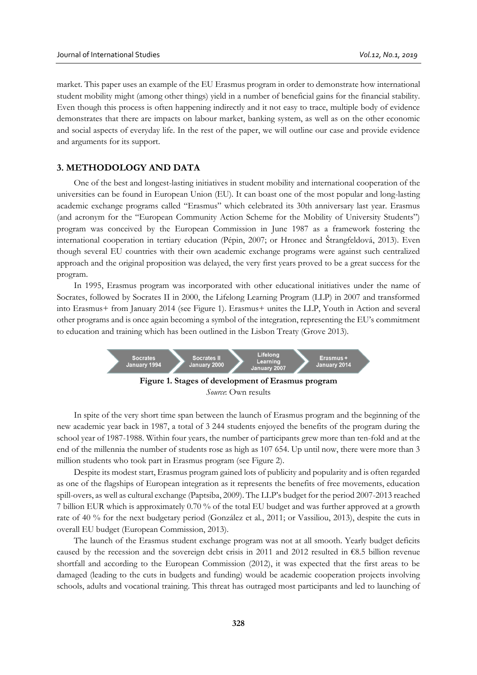market. This paper uses an example of the EU Erasmus program in order to demonstrate how international student mobility might (among other things) yield in a number of beneficial gains for the financial stability. Even though this process is often happening indirectly and it not easy to trace, multiple body of evidence demonstrates that there are impacts on labour market, banking system, as well as on the other economic and social aspects of everyday life. In the rest of the paper, we will outline our case and provide evidence and arguments for its support.

#### **3. METHODOLOGY AND DATA**

One of the best and longest-lasting initiatives in student mobility and international cooperation of the universities can be found in European Union (EU). It can boast one of the most popular and long-lasting academic exchange programs called "Erasmus" which celebrated its 30th anniversary last year. Erasmus (and acronym for the "European Community Action Scheme for the Mobility of University Students") program was conceived by the European Commission in June 1987 as a framework fostering the international cooperation in tertiary education (Pépin, 2007; or Hronec and Štrangfeldová, 2013). Even though several EU countries with their own academic exchange programs were against such centralized approach and the original proposition was delayed, the very first years proved to be a great success for the program.

In 1995, Erasmus program was incorporated with other educational initiatives under the name of Socrates, followed by Socrates II in 2000, the Lifelong Learning Program (LLP) in 2007 and transformed into Erasmus+ from January 2014 (see Figure 1). Erasmus+ unites the LLP, Youth in Action and several other programs and is once again becoming a symbol of the integration, representing the EU's commitment to education and training which has been outlined in the Lisbon Treaty (Grove 2013).



In spite of the very short time span between the launch of Erasmus program and the beginning of the new academic year back in 1987, a total of 3 244 students enjoyed the benefits of the program during the school year of 1987-1988. Within four years, the number of participants grew more than ten-fold and at the end of the millennia the number of students rose as high as 107 654. Up until now, there were more than 3 million students who took part in Erasmus program (see Figure 2).

Despite its modest start, Erasmus program gained lots of publicity and popularity and is often regarded as one of the flagships of European integration as it represents the benefits of free movements, education spill-overs, as well as cultural exchange (Paptsiba, 2009). The LLP's budget for the period 2007-2013 reached 7 billion EUR which is approximately 0.70 % of the total EU budget and was further approved at a growth rate of 40 % for the next budgetary period (González et al., 2011; or Vassiliou, 2013), despite the cuts in overall EU budget (European Commission, 2013).

The launch of the Erasmus student exchange program was not at all smooth. Yearly budget deficits caused by the recession and the sovereign debt crisis in 2011 and 2012 resulted in  $\epsilon$ 8.5 billion revenue shortfall and according to the European Commission (2012), it was expected that the first areas to be damaged (leading to the cuts in budgets and funding) would be academic cooperation projects involving schools, adults and vocational training. This threat has outraged most participants and led to launching of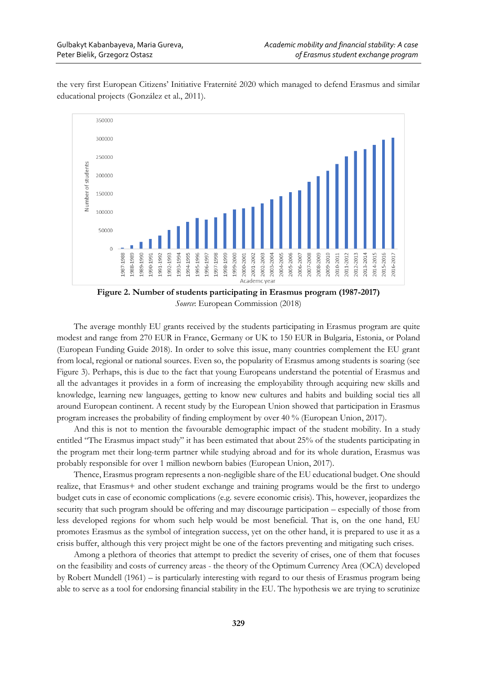the very first European Citizens' Initiative Fraternité 2020 which managed to defend Erasmus and similar educational projects (González et al., 2011).



**Figure 2. Number of students participating in Erasmus program (1987-2017)** *Source*: European Commission (2018)

The average monthly EU grants received by the students participating in Erasmus program are quite modest and range from 270 EUR in France, Germany or UK to 150 EUR in Bulgaria, Estonia, or Poland (European Funding Guide 2018). In order to solve this issue, many countries complement the EU grant from local, regional or national sources. Even so, the popularity of Erasmus among students is soaring (see Figure 3). Perhaps, this is due to the fact that young Europeans understand the potential of Erasmus and all the advantages it provides in a form of increasing the employability through acquiring new skills and knowledge, learning new languages, getting to know new cultures and habits and building social ties all around European continent. A recent study by the European Union showed that participation in Erasmus program increases the probability of finding employment by over 40 % (European Union, 2017).

And this is not to mention the favourable demographic impact of the student mobility. In a study entitled "The Erasmus impact study" it has been estimated that about 25% of the students participating in the program met their long-term partner while studying abroad and for its whole duration, Erasmus was probably responsible for over 1 million newborn babies (European Union, 2017).

Thence, Erasmus program represents a non-negligible share of the EU educational budget. One should realize, that Erasmus+ and other student exchange and training programs would be the first to undergo budget cuts in case of economic complications (e.g. severe economic crisis). This, however, jeopardizes the security that such program should be offering and may discourage participation – especially of those from less developed regions for whom such help would be most beneficial. That is, on the one hand, EU promotes Erasmus as the symbol of integration success, yet on the other hand, it is prepared to use it as a crisis buffer, although this very project might be one of the factors preventing and mitigating such crises.

Among a plethora of theories that attempt to predict the severity of crises, one of them that focuses on the feasibility and costs of currency areas - the theory of the Optimum Currency Area (OCA) developed by Robert Mundell (1961) – is particularly interesting with regard to our thesis of Erasmus program being able to serve as a tool for endorsing financial stability in the EU. The hypothesis we are trying to scrutinize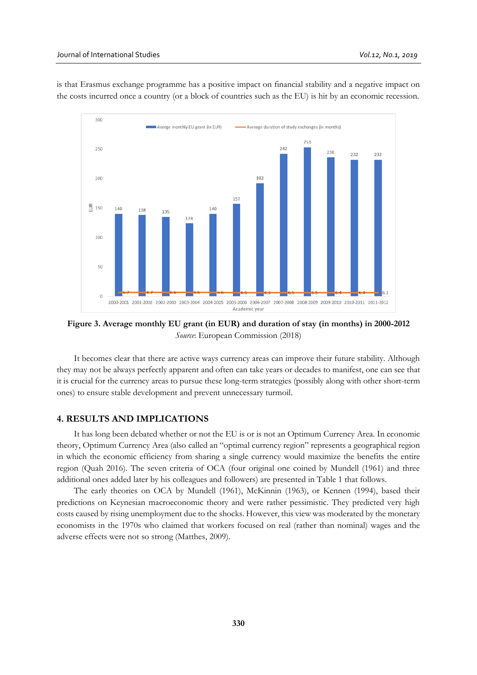

is that Erasmus exchange programme has a positive impact on financial stability and a negative impact on the costs incurred once a country (or a block of countries such as the EU) is hit by an economic recession.

**Figure 3. Average monthly EU grant (in EUR) and duration of stay (in months) in 2000-2012** *Source*: European Commission (2018)

It becomes clear that there are active ways currency areas can improve their future stability. Although they may not be always perfectly apparent and often can take years or decades to manifest, one can see that it is crucial for the currency areas to pursue these long-term strategies (possibly along with other short-term ones) to ensure stable development and prevent unnecessary turmoil.

## **4. RESULTS AND IMPLICATIONS**

It has long been debated whether or not the EU is or is not an Optimum Currency Area. In economic theory, Optimum Currency Area (also called an "optimal currency region" represents a geographical region in which the economic efficiency from sharing a single currency would maximize the benefits the entire region (Quah 2016). The seven criteria of OCA (four original one coined by Mundell (1961) and three additional ones added later by his colleagues and followers) are presented in Table 1 that follows.

The early theories on OCA by Mundell (1961), McKinnin (1963), or Kennen (1994), based their predictions on Keynesian macroeconomic theory and were rather pessimistic. They predicted very high costs caused by rising unemployment due to the shocks. However, this view was moderated by the monetary economists in the 1970s who claimed that workers focused on real (rather than nominal) wages and the adverse effects were not so strong (Matthes, 2009).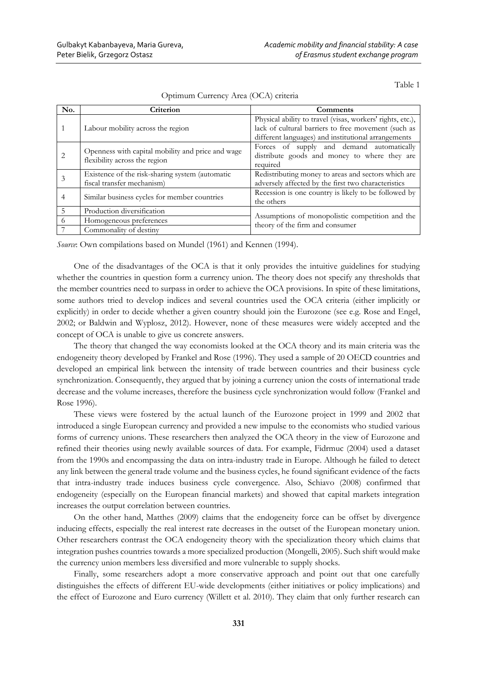Table 1

| No.            | Criterion                                                                          | Comments                                                                                                                                                                 |
|----------------|------------------------------------------------------------------------------------|--------------------------------------------------------------------------------------------------------------------------------------------------------------------------|
|                | Labour mobility across the region                                                  | Physical ability to travel (visas, workers' rights, etc.),<br>lack of cultural barriers to free movement (such as<br>different languages) and institutional arrangements |
|                | Openness with capital mobility and price and wage<br>flexibility across the region | Forces of supply and demand automatically<br>distribute goods and money to where they are<br>required                                                                    |
|                | Existence of the risk-sharing system (automatic<br>fiscal transfer mechanism)      | Redistributing money to areas and sectors which are<br>adversely affected by the first two characteristics                                                               |
| 4              | Similar business cycles for member countries                                       | Recession is one country is likely to be followed by<br>the others                                                                                                       |
| $\overline{5}$ | Production diversification                                                         | Assumptions of monopolistic competition and the<br>theory of the firm and consumer                                                                                       |
| 6              | Homogeneous preferences                                                            |                                                                                                                                                                          |
|                | Commonality of destiny                                                             |                                                                                                                                                                          |

Optimum Currency Area (OCA) criteria

*Source*: Own compilations based on Mundel (1961) and Kennen (1994).

One of the disadvantages of the OCA is that it only provides the intuitive guidelines for studying whether the countries in question form a currency union. The theory does not specify any thresholds that the member countries need to surpass in order to achieve the OCA provisions. In spite of these limitations, some authors tried to develop indices and several countries used the OCA criteria (either implicitly or explicitly) in order to decide whether a given country should join the Eurozone (see e.g. Rose and Engel, 2002; or Baldwin and Wyplosz, 2012). However, none of these measures were widely accepted and the concept of OCA is unable to give us concrete answers.

The theory that changed the way economists looked at the OCA theory and its main criteria was the endogeneity theory developed by Frankel and Rose (1996). They used a sample of 20 OECD countries and developed an empirical link between the intensity of trade between countries and their business cycle synchronization. Consequently, they argued that by joining a currency union the costs of international trade decrease and the volume increases, therefore the business cycle synchronization would follow (Frankel and Rose 1996).

These views were fostered by the actual launch of the Eurozone project in 1999 and 2002 that introduced a single European currency and provided a new impulse to the economists who studied various forms of currency unions. These researchers then analyzed the OCA theory in the view of Eurozone and refined their theories using newly available sources of data. For example, Fidrmuc (2004) used a dataset from the 1990s and encompassing the data on intra-industry trade in Europe. Although he failed to detect any link between the general trade volume and the business cycles, he found significant evidence of the facts that intra-industry trade induces business cycle convergence. Also, Schiavo (2008) confirmed that endogeneity (especially on the European financial markets) and showed that capital markets integration increases the output correlation between countries.

On the other hand, Matthes (2009) claims that the endogeneity force can be offset by divergence inducing effects, especially the real interest rate decreases in the outset of the European monetary union. Other researchers contrast the OCA endogeneity theory with the specialization theory which claims that integration pushes countries towards a more specialized production (Mongelli, 2005). Such shift would make the currency union members less diversified and more vulnerable to supply shocks.

Finally, some researchers adopt a more conservative approach and point out that one carefully distinguishes the effects of different EU-wide developments (either initiatives or policy implications) and the effect of Eurozone and Euro currency (Willett et al. 2010). They claim that only further research can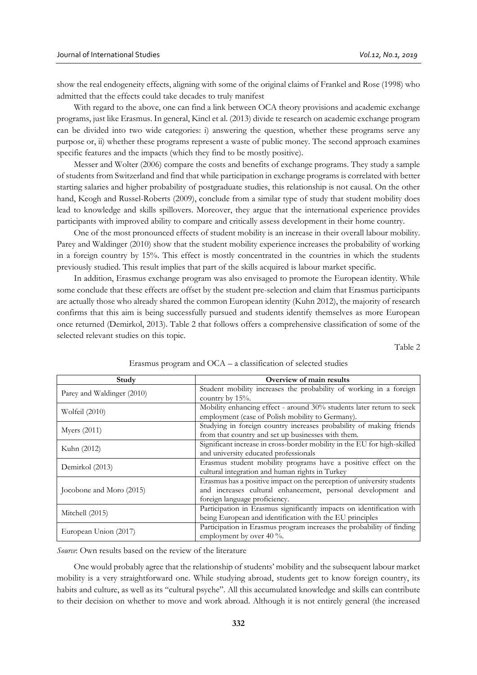show the real endogeneity effects, aligning with some of the original claims of Frankel and Rose (1998) who admitted that the effects could take decades to truly manifest

With regard to the above, one can find a link between OCA theory provisions and academic exchange programs, just like Erasmus. In general, Kincl et al. (2013) divide te research on academic exchange program can be divided into two wide categories: i) answering the question, whether these programs serve any purpose or, ii) whether these programs represent a waste of public money. The second approach examines specific features and the impacts (which they find to be mostly positive).

Messer and Wolter (2006) compare the costs and benefits of exchange programs. They study a sample of students from Switzerland and find that while participation in exchange programs is correlated with better starting salaries and higher probability of postgraduate studies, this relationship is not causal. On the other hand, Keogh and Russel-Roberts (2009), conclude from a similar type of study that student mobility does lead to knowledge and skills spillovers. Moreover, they argue that the international experience provides participants with improved ability to compare and critically assess development in their home country.

One of the most pronounced effects of student mobility is an increase in their overall labour mobility. Parey and Waldinger (2010) show that the student mobility experience increases the probability of working in a foreign country by 15%. This effect is mostly concentrated in the countries in which the students previously studied. This result implies that part of the skills acquired is labour market specific.

In addition, Erasmus exchange program was also envisaged to promote the European identity. While some conclude that these effects are offset by the student pre-selection and claim that Erasmus participants are actually those who already shared the common European identity (Kuhn 2012), the majority of research confirms that this aim is being successfully pursued and students identify themselves as more European once returned (Demirkol, 2013). Table 2 that follows offers a comprehensive classification of some of the selected relevant studies on this topic.

Table 2

| Study                      | Overview of main results                                                                                                                                                |
|----------------------------|-------------------------------------------------------------------------------------------------------------------------------------------------------------------------|
| Parey and Waldinger (2010) | Student mobility increases the probability of working in a foreign<br>country by $15%$ .                                                                                |
| Wolfeil (2010)             | Mobility enhancing effect - around 30% students later return to seek<br>employment (case of Polish mobility to Germany).                                                |
| Myers $(2011)$             | Studying in foreign country increases probability of making friends<br>from that country and set up businesses with them.                                               |
| Kuhn (2012)                | Significant increase in cross-border mobility in the EU for high-skilled<br>and university educated professionals                                                       |
| Demirkol (2013)            | Erasmus student mobility programs have a positive effect on the<br>cultural integration and human rights in Turkey                                                      |
| Jocobone and Moro (2015)   | Erasmus has a positive impact on the perception of university students<br>and increases cultural enhancement, personal development and<br>foreign language proficiency. |
| Mitchell (2015)            | Participation in Erasmus significantly impacts on identification with<br>being European and identification with the EU principles                                       |
| European Union (2017)      | Participation in Erasmus program increases the probability of finding<br>employment by over 40 $\%$ .                                                                   |

Erasmus program and OCA – a classification of selected studies

*Source*: Own results based on the review of the literature

One would probably agree that the relationship of students' mobility and the subsequent labour market mobility is a very straightforward one. While studying abroad, students get to know foreign country, its habits and culture, as well as its "cultural psyche". All this accumulated knowledge and skills can contribute to their decision on whether to move and work abroad. Although it is not entirely general (the increased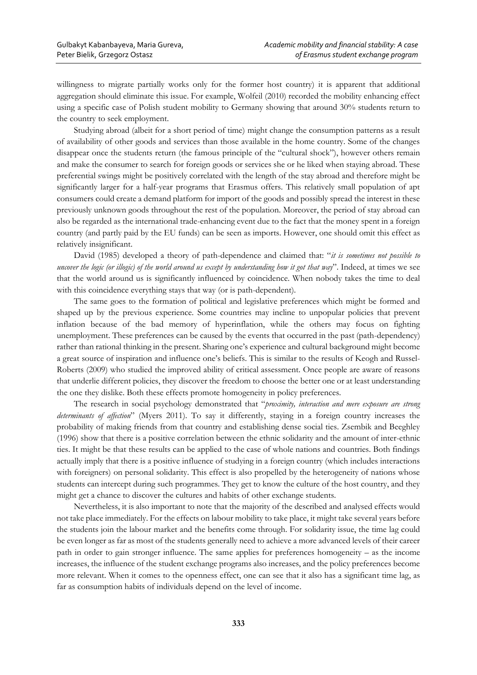willingness to migrate partially works only for the former host country) it is apparent that additional aggregation should eliminate this issue. For example, Wolfeil (2010) recorded the mobility enhancing effect using a specific case of Polish student mobility to Germany showing that around 30% students return to the country to seek employment.

Studying abroad (albeit for a short period of time) might change the consumption patterns as a result of availability of other goods and services than those available in the home country. Some of the changes disappear once the students return (the famous principle of the "cultural shock"), however others remain and make the consumer to search for foreign goods or services she or he liked when staying abroad. These preferential swings might be positively correlated with the length of the stay abroad and therefore might be significantly larger for a half-year programs that Erasmus offers. This relatively small population of apt consumers could create a demand platform for import of the goods and possibly spread the interest in these previously unknown goods throughout the rest of the population. Moreover, the period of stay abroad can also be regarded as the international trade-enhancing event due to the fact that the money spent in a foreign country (and partly paid by the EU funds) can be seen as imports. However, one should omit this effect as relatively insignificant.

David (1985) developed a theory of path-dependence and claimed that: "*it is sometimes not possible to uncover the logic (or illogic) of the world around us except by understanding how it got that way*". Indeed, at times we see that the world around us is significantly influenced by coincidence. When nobody takes the time to deal with this coincidence everything stays that way (or is path-dependent).

The same goes to the formation of political and legislative preferences which might be formed and shaped up by the previous experience. Some countries may incline to unpopular policies that prevent inflation because of the bad memory of hyperinflation, while the others may focus on fighting unemployment. These preferences can be caused by the events that occurred in the past (path-dependency) rather than rational thinking in the present. Sharing one's experience and cultural background might become a great source of inspiration and influence one's beliefs. This is similar to the results of Keogh and Russel-Roberts (2009) who studied the improved ability of critical assessment. Once people are aware of reasons that underlie different policies, they discover the freedom to choose the better one or at least understanding the one they dislike. Both these effects promote homogeneity in policy preferences.

The research in social psychology demonstrated that "*proximity, interaction and mere exposure are strong determinants of affection*" (Myers 2011). To say it differently, staying in a foreign country increases the probability of making friends from that country and establishing dense social ties. Zsembik and Beeghley (1996) show that there is a positive correlation between the ethnic solidarity and the amount of inter-ethnic ties. It might be that these results can be applied to the case of whole nations and countries. Both findings actually imply that there is a positive influence of studying in a foreign country (which includes interactions with foreigners) on personal solidarity. This effect is also propelled by the heterogeneity of nations whose students can intercept during such programmes. They get to know the culture of the host country, and they might get a chance to discover the cultures and habits of other exchange students.

Nevertheless, it is also important to note that the majority of the described and analysed effects would not take place immediately. For the effects on labour mobility to take place, it might take several years before the students join the labour market and the benefits come through. For solidarity issue, the time lag could be even longer as far as most of the students generally need to achieve a more advanced levels of their career path in order to gain stronger influence. The same applies for preferences homogeneity – as the income increases, the influence of the student exchange programs also increases, and the policy preferences become more relevant. When it comes to the openness effect, one can see that it also has a significant time lag, as far as consumption habits of individuals depend on the level of income.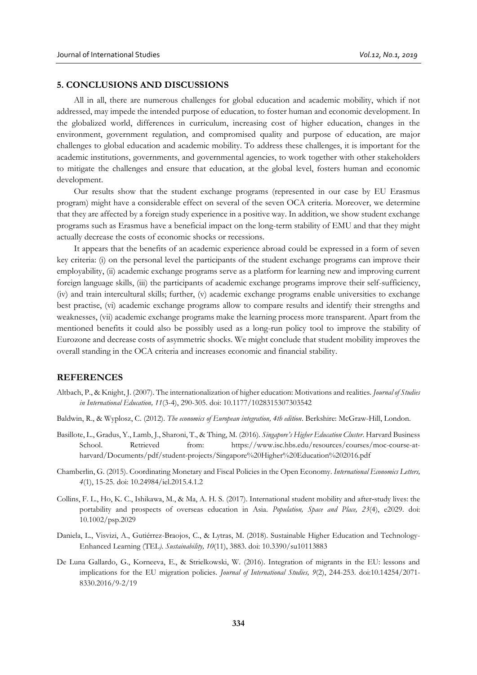## **5. CONCLUSIONS AND DISCUSSIONS**

All in all, there are numerous challenges for global education and academic mobility, which if not addressed, may impede the intended purpose of education, to foster human and economic development. In the globalized world, differences in curriculum, increasing cost of higher education, changes in the environment, government regulation, and compromised quality and purpose of education, are major challenges to global education and academic mobility. To address these challenges, it is important for the academic institutions, governments, and governmental agencies, to work together with other stakeholders to mitigate the challenges and ensure that education, at the global level, fosters human and economic development.

Our results show that the student exchange programs (represented in our case by EU Erasmus program) might have a considerable effect on several of the seven OCA criteria. Moreover, we determine that they are affected by a foreign study experience in a positive way. In addition, we show student exchange programs such as Erasmus have a beneficial impact on the long-term stability of EMU and that they might actually decrease the costs of economic shocks or recessions.

It appears that the benefits of an academic experience abroad could be expressed in a form of seven key criteria: (i) on the personal level the participants of the student exchange programs can improve their employability, (ii) academic exchange programs serve as a platform for learning new and improving current foreign language skills, (iii) the participants of academic exchange programs improve their self-sufficiency, (iv) and train intercultural skills; further, (v) academic exchange programs enable universities to exchange best practise, (vi) academic exchange programs allow to compare results and identify their strengths and weaknesses, (vii) academic exchange programs make the learning process more transparent. Apart from the mentioned benefits it could also be possibly used as a long-run policy tool to improve the stability of Eurozone and decrease costs of asymmetric shocks. We might conclude that student mobility improves the overall standing in the OCA criteria and increases economic and financial stability.

#### **REFERENCES**

- Altbach, P., & Knight, J. (2007). The internationalization of higher education: Motivations and realities. *Journal of Studies in International Education, 11*(3-4), 290-305. doi: 10.1177/1028315307303542
- Baldwin, R., & Wyplosz, C. (2012). *The economics of European integration, 4th edition*. Berkshire: McGraw-Hill, London.
- Basillote, L., Gradus, Y., Lamb, J., Sharoni, T., & Thing, M. (2016). *Singapore's Higher Education Cluster*. Harvard Business School. Retrieved from: https://www.isc.hbs.edu/resources/courses/moc-course-atharvard/Documents/pdf/student-projects/Singapore%20Higher%20Education%202016.pdf
- Chamberlin, G. (2015). Coordinating Monetary and Fiscal Policies in the Open Economy. *International Economics Letters, 4*(1), 15-25. doi: 10.24984/iel.2015.4.1.2
- Collins, F. L., Ho, K. C., Ishikawa, M., & Ma, A. H. S. (2017). International student mobility and after‐study lives: the portability and prospects of overseas education in Asia. *Population, Space and Place, 23*(4), e2029. doi: 10.1002/psp.2029
- Daniela, L., Visvizi, A., Gutiérrez-Braojos, C., & Lytras, M. (2018). Sustainable Higher Education and Technology-Enhanced Learning (TEL*). Sustainability, 10*(11), 3883. doi: 10.3390/su10113883
- De Luna Gallardo, G., Korneeva, E., & Strielkowski, W. (2016). Integration of migrants in the EU: lessons and implications for the EU migration policies. *Journal of International Studies, 9*(2), 244-253. doi:10.14254/2071- 8330.2016/9-2/19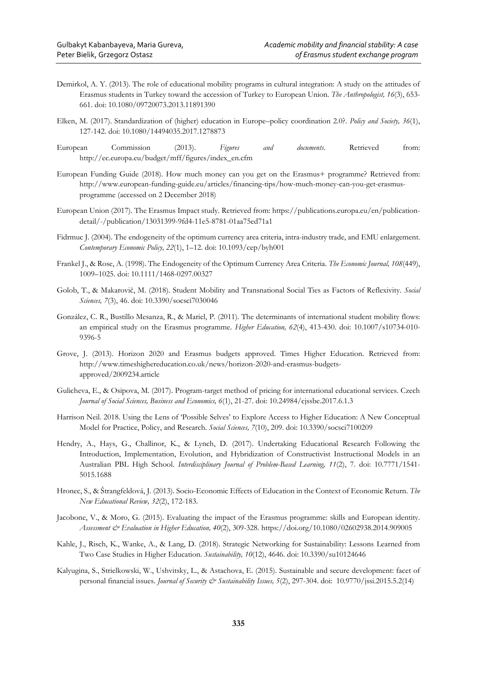- Demirkol, A. Y. (2013). The role of educational mobility programs in cultural integration: A study on the attitudes of Erasmus students in Turkey toward the accession of Turkey to European Union. *The Anthropologist, 16*(3), 653- 661. doi: 10.1080/09720073.2013.11891390
- Elken, M. (2017). Standardization of (higher) education in Europe–policy coordination 2.0?. *Policy and Society, 36*(1), 127-142. doi: 10.1080/14494035.2017.1278873
- European Commission (2013). *Figures and documents*. Retrieved from: http://ec.europa.eu/budget/mff/figures/index\_en.cfm
- European Funding Guide (2018). How much money can you get on the Erasmus+ programme? Retrieved from: http://www.european-funding-guide.eu/articles/financing-tips/how-much-money-can-you-get-erasmusprogramme (accessed on 2 December 2018)
- European Union (2017). The Erasmus Impact study. Retrieved from: https://publications.europa.eu/en/publicationdetail/-/publication/13031399-9fd4-11e5-8781-01aa75ed71a1
- Fidrmuc J. (2004). The endogeneity of the optimum currency area criteria, intra-industry trade, and EMU enlargement. *Contemporary Economic Policy, 22*(1), 1–12. doi: 10.1093/cep/byh001
- Frankel J., & Rose, A. (1998). The Endogeneity of the Optimum Currency Area Criteria. *The Economic Journal, 108*(449), 1009–1025. doi: 10.1111/1468-0297.00327
- Golob, T., & Makarovič, M. (2018). Student Mobility and Transnational Social Ties as Factors of Reflexivity. *Social Sciences, 7*(3), 46. doi: 10.3390/socsci7030046
- González, C. R., Bustillo Mesanza, R., & Mariel, P. (2011). The determinants of international student mobility flows: an empirical study on the Erasmus programme. *Higher Education, 62*(4), 413-430. doi: 10.1007/s10734-010- 9396-5
- Grove, J. (2013). Horizon 2020 and Erasmus budgets approved. Times Higher Education. Retrieved from: http://www.timeshighereducation.co.uk/news/horizon-2020-and-erasmus-budgetsapproved/2009234.article
- Gulicheva, E., & Osipova, M. (2017). Program-target method of pricing for international educational services. Czech *Journal of Social Sciences, Business and Economics, 6*(1), 21-27. doi: 10.24984/cjssbe.2017.6.1.3
- Harrison Neil. 2018. Using the Lens of 'Possible Selves' to Explore Access to Higher Education: A New Conceptual Model for Practice, Policy, and Research. *Social Sciences, 7*(10), 209. doi: 10.3390/socsci7100209
- Hendry, A., Hays, G., Challinor, K., & Lynch, D. (2017). Undertaking Educational Research Following the Introduction, Implementation, Evolution, and Hybridization of Constructivist Instructional Models in an Australian PBL High School. *Interdisciplinary Journal of Problem-Based Learning, 11*(2), 7. doi: 10.7771/1541- 5015.1688
- Hronec, S., & Štrangfeldová, J. (2013). Socio-Economic Effects of Education in the Context of Economic Return. *The New Educational Review, 32*(2), 172-183.
- Jacobone, V., & Moro, G. (2015). Evaluating the impact of the Erasmus programme: skills and European identity. *Assessment & Evaluation in Higher Education, 40*(2), 309-328. https://doi.org/10.1080/02602938.2014.909005
- Kahle, J., Risch, K., Wanke, A., & Lang, D. (2018). Strategic Networking for Sustainability: Lessons Learned from Two Case Studies in Higher Education. *Sustainability, 10*(12), 4646. doi: 10.3390/su10124646
- Kalyugina, S., Strielkowski, W., Ushvitsky, L., & Astachova, E. (2015). Sustainable and secure development: facet of personal financial issues. *Journal of Security & Sustainability Issues, 5*(2), 297-304. doi: 10.9770/jssi.2015.5.2(14)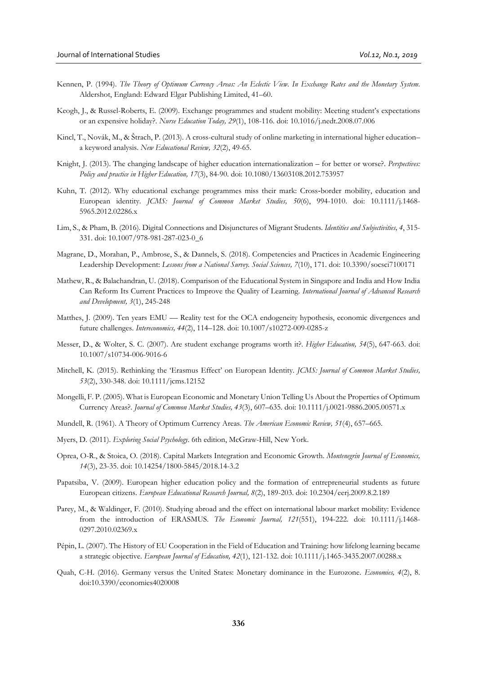- Kennen, P. (1994). *The Theory of Optimum Currency Areas: An Eclectic View. In Exchange Rates and the Monetary System*. Aldershot, England: Edward Elgar Publishing Limited, 41–60.
- Keogh, J., & Russel-Roberts, E. (2009). Exchange programmes and student mobility: Meeting student's expectations or an expensive holiday?. *Nurse Education Today, 29*(1), 108-116. doi: 10.1016/j.nedt.2008.07.006
- Kincl, T., Novák, M., & Štrach, P. (2013). A cross-cultural study of online marketing in international higher education– a keyword analysis. *New Educational Review, 32*(2), 49-65.
- Knight, J. (2013). The changing landscape of higher education internationalization for better or worse?. *Perspectives: Policy and practice in Higher Education, 17*(3), 84-90. doi: 10.1080/13603108.2012.753957
- Kuhn, T. (2012). Why educational exchange programmes miss their mark: Cross-border mobility, education and European identity. *JCMS: Journal of Common Market Studies, 50*(6), 994-1010. doi: 10.1111/j.1468- 5965.2012.02286.x
- Lim, S., & Pham, B. (2016). Digital Connections and Disjunctures of Migrant Students. *Identities and Subjectivities, 4*, 315- 331. doi: 10.1007/978-981-287-023-0\_6
- Magrane, D., Morahan, P., Ambrose, S., & Dannels, S. (2018). Competencies and Practices in Academic Engineering Leadership Development: *Lessons from a National Survey. Social Sciences, 7*(10), 171. doi: 10.3390/socsci7100171
- Mathew, R., & Balachandran, U. (2018). Comparison of the Educational System in Singapore and India and How India Can Reform Its Current Practices to Improve the Quality of Learning. *International Journal of Advanced Research and Development, 3*(1), 245-248
- Matthes, J. (2009). Ten years EMU Reality test for the OCA endogeneity hypothesis, economic divergences and future challenges. *Intereconomics, 44*(2), 114–128. doi: 10.1007/s10272-009-0285-z
- Messer, D., & Wolter, S. C. (2007). Are student exchange programs worth it?. *Higher Education, 54*(5), 647-663. doi: 10.1007/s10734-006-9016-6
- Mitchell, K. (2015). Rethinking the 'Erasmus Effect' on European Identity*. JCMS: Journal of Common Market Studies, 53*(2), 330-348. doi: 10.1111/jcms.12152
- Mongelli, F. P. (2005). What is European Economic and Monetary Union Telling Us About the Properties of Optimum Currency Areas?. *Journal of Common Market Studies, 43*(3), 607–635. doi: 10.1111/j.0021-9886.2005.00571.x
- Mundell, R. (1961). A Theory of Optimum Currency Areas. *The American Economic Review, 51*(4), 657–665.
- Myers, D. (2011). *Exploring Social Psychology*. 6th edition, McGraw-Hill, New York.
- Oprea, O-R., & Stoica, O. (2018). Capital Markets Integration and Economic Growth. *Montenegrin Journal of Economics, 14*(3), 23-35. doi: 10.14254/1800-5845/2018.14-3.2
- Papatsiba, V. (2009). European higher education policy and the formation of entrepreneurial students as future European citizens. *European Educational Research Journal, 8*(2), 189-203. doi: 10.2304/eerj.2009.8.2.189
- Parey, M., & Waldinger, F. (2010). Studying abroad and the effect on international labour market mobility: Evidence from the introduction of ERASMUS. *The Economic Journal, 121*(551), 194-222. doi: 10.1111/j.1468- 0297.2010.02369.x
- Pépin, L. (2007). The History of EU Cooperation in the Field of Education and Training: how lifelong learning became a strategic objective. *European Journal of Education, 42*(1), 121-132. doi: 10.1111/j.1465-3435.2007.00288.x
- Quah, C-H. (2016). Germany versus the United States: Monetary dominance in the Eurozone. *Economies, 4*(2), 8. doi:10.3390/economies4020008